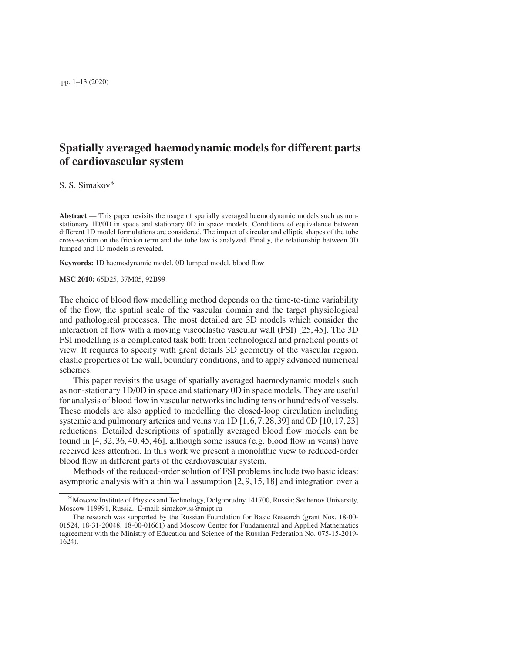# Spatially averaged haemodynamic models for different parts of cardiovascular system

S. S. Simakov∗

Abstract — This paper revisits the usage of spatially averaged haemodynamic models such as nonstationary 1D/0D in space and stationary 0D in space models. Conditions of equivalence between different 1D model formulations are considered. The impact of circular and elliptic shapes of the tube cross-section on the friction term and the tube law is analyzed. Finally, the relationship between 0D lumped and 1D models is revealed.

Keywords: 1D haemodynamic model, 0D lumped model, blood flow

MSC 2010: 65D25, 37M05, 92B99

The choice of blood flow modelling method depends on the time-to-time variability of the flow, the spatial scale of the vascular domain and the target physiological and pathological processes. The most detailed are 3D models which consider the interaction of flow with a moving viscoelastic vascular wall (FSI) [25, 45]. The 3D FSI modelling is a complicated task both from technological and practical points of view. It requires to specify with great details 3D geometry of the vascular region, elastic properties of the wall, boundary conditions, and to apply advanced numerical schemes.

This paper revisits the usage of spatially averaged haemodynamic models such as non-stationary 1D/0D in space and stationary 0D in space models. They are useful for analysis of blood flow in vascular networks including tens or hundreds of vessels. These models are also applied to modelling the closed-loop circulation including systemic and pulmonary arteries and veins via 1D [1,6,7,28,39] and 0D [10,17,23] reductions. Detailed descriptions of spatially averaged blood flow models can be found in  $[4, 32, 36, 40, 45, 46]$ , although some issues (e.g. blood flow in veins) have received less attention. In this work we present a monolithic view to reduced-order blood flow in different parts of the cardiovascular system.

Methods of the reduced-order solution of FSI problems include two basic ideas: asymptotic analysis with a thin wall assumption [2, 9, 15, 18] and integration over a

<sup>∗</sup>Moscow Institute of Physics and Technology, Dolgoprudny 141700, Russia; Sechenov University, Moscow 119991, Russia. E-mail: simakov.ss@mipt.ru

The research was supported by the Russian Foundation for Basic Research (grant Nos. 18-00- 01524, 18-31-20048, 18-00-01661) and Moscow Center for Fundamental and Applied Mathematics (agreement with the Ministry of Education and Science of the Russian Federation No. 075-15-2019- 1624).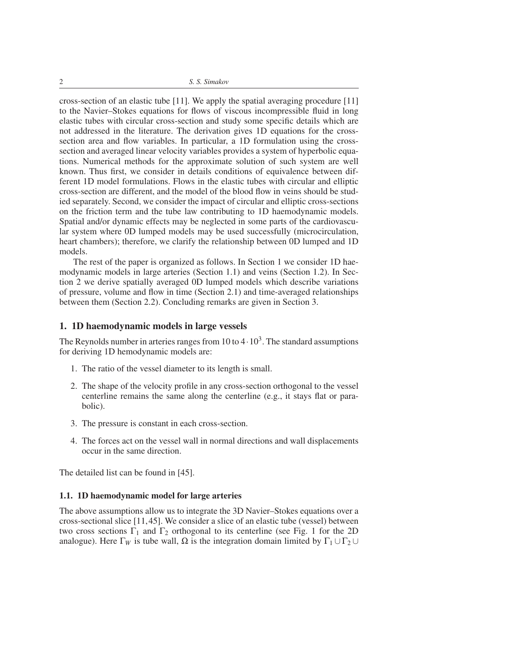cross-section of an elastic tube [11]. We apply the spatial averaging procedure [11] to the Navier–Stokes equations for flows of viscous incompressible fluid in long elastic tubes with circular cross-section and study some specific details which are not addressed in the literature. The derivation gives 1D equations for the crosssection area and flow variables. In particular, a 1D formulation using the crosssection and averaged linear velocity variables provides a system of hyperbolic equations. Numerical methods for the approximate solution of such system are well known. Thus first, we consider in details conditions of equivalence between different 1D model formulations. Flows in the elastic tubes with circular and elliptic cross-section are different, and the model of the blood flow in veins should be studied separately. Second, we consider the impact of circular and elliptic cross-sections on the friction term and the tube law contributing to 1D haemodynamic models. Spatial and/or dynamic effects may be neglected in some parts of the cardiovascular system where 0D lumped models may be used successfully (microcirculation, heart chambers); therefore, we clarify the relationship between 0D lumped and 1D models.

The rest of the paper is organized as follows. In Section 1 we consider 1D haemodynamic models in large arteries (Section 1.1) and veins (Section 1.2). In Section 2 we derive spatially averaged 0D lumped models which describe variations of pressure, volume and flow in time (Section 2.1) and time-averaged relationships between them (Section 2.2). Concluding remarks are given in Section 3.

## 1. 1D haemodynamic models in large vessels

The Reynolds number in arteries ranges from 10 to  $4 \cdot 10^3$ . The standard assumptions for deriving 1D hemodynamic models are:

- 1. The ratio of the vessel diameter to its length is small.
- 2. The shape of the velocity profile in any cross-section orthogonal to the vessel centerline remains the same along the centerline (e.g., it stays flat or parabolic).
- 3. The pressure is constant in each cross-section.
- 4. The forces act on the vessel wall in normal directions and wall displacements occur in the same direction.

The detailed list can be found in [45].

#### 1.1. 1D haemodynamic model for large arteries

The above assumptions allow us to integrate the 3D Navier–Stokes equations over a cross-sectional slice [11,45]. We consider a slice of an elastic tube (vessel) between two cross sections  $\Gamma_1$  and  $\Gamma_2$  orthogonal to its centerline (see Fig. 1 for the 2D analogue). Here  $\Gamma_W$  is tube wall,  $\Omega$  is the integration domain limited by  $\Gamma_1 \cup \Gamma_2 \cup$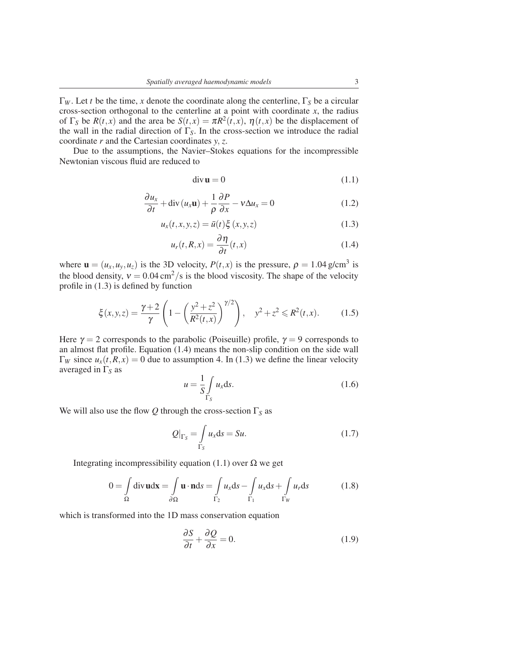Γ*<sup>W</sup>* . Let *t* be the time, *x* denote the coordinate along the centerline, Γ*<sup>S</sup>* be a circular cross-section orthogonal to the centerline at a point with coordinate *x*, the radius of  $\Gamma_S$  be  $R(t, x)$  and the area be  $S(t, x) = \pi R^2(t, x)$ ,  $\eta(t, x)$  be the displacement of the wall in the radial direction of Γ*S*. In the cross-section we introduce the radial coordinate *r* and the Cartesian coordinates *y*, *z*.

Due to the assumptions, the Navier–Stokes equations for the incompressible Newtonian viscous fluid are reduced to

$$
\operatorname{div} \mathbf{u} = 0 \tag{1.1}
$$

$$
\frac{\partial u_x}{\partial t} + \text{div}\left(u_x \mathbf{u}\right) + \frac{1}{\rho} \frac{\partial P}{\partial x} - v \Delta u_x = 0 \tag{1.2}
$$

$$
u_x(t, x, y, z) = \bar{u}(t)\xi(x, y, z)
$$
 (1.3)

$$
u_r(t, R, x) = \frac{\partial \eta}{\partial t}(t, x)
$$
\n(1.4)

where  $\mathbf{u} = (u_x, u_y, u_z)$  is the 3D velocity,  $P(t, x)$  is the pressure,  $\rho = 1.04$  g/cm<sup>3</sup> is the blood density,  $v = 0.04 \text{ cm}^2/\text{s}$  is the blood viscosity. The shape of the velocity profile in (1.3) is defined by function

$$
\xi(x, y, z) = \frac{\gamma + 2}{\gamma} \left( 1 - \left( \frac{y^2 + z^2}{R^2(t, x)} \right)^{\gamma/2} \right), \quad y^2 + z^2 \le R^2(t, x). \tag{1.5}
$$

Here  $\gamma = 2$  corresponds to the parabolic (Poiseuille) profile,  $\gamma = 9$  corresponds to an almost flat profile. Equation (1.4) means the non-slip condition on the side wall  $\Gamma_W$  since  $u_x(t, R, x) = 0$  due to assumption 4. In (1.3) we define the linear velocity averaged in Γ*<sup>S</sup>* as

$$
u = \frac{1}{S} \int_{\Gamma_S} u_x \, \mathrm{d}s. \tag{1.6}
$$

We will also use the flow *Q* through the cross-section Γ*<sup>S</sup>* as

$$
Q|_{\Gamma_S} = \int_{\Gamma_S} u_x \, \mathrm{d}s = Su. \tag{1.7}
$$

Integrating incompressibility equation (1.1) over  $Ω$  we get

$$
0 = \int_{\Omega} \text{div}\,\mathbf{u} \, \mathrm{d}\mathbf{x} = \int_{\partial\Omega} \mathbf{u} \cdot \mathbf{n} \, \mathrm{d}s = \int_{\Gamma_2} u_x \, \mathrm{d}s - \int_{\Gamma_1} u_x \, \mathrm{d}s + \int_{\Gamma_W} u_r \, \mathrm{d}s \tag{1.8}
$$

which is transformed into the 1D mass conservation equation

$$
\frac{\partial S}{\partial t} + \frac{\partial Q}{\partial x} = 0.
$$
 (1.9)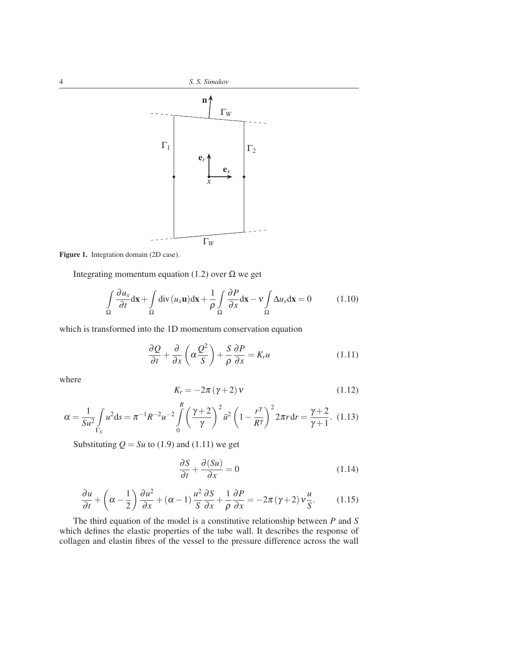

Figure 1. Integration domain (2D case).

Integrating momentum equation (1.2) over  $\Omega$  we get

$$
\int_{\Omega} \frac{\partial u_x}{\partial t} dx + \int_{\Omega} \text{div} (u_x \mathbf{u}) dx + \frac{1}{\rho} \int_{\Omega} \frac{\partial P}{\partial x} dx - v \int_{\Omega} \Delta u_x dx = 0 \tag{1.10}
$$

which is transformed into the 1D momentum conservation equation

$$
\frac{\partial Q}{\partial t} + \frac{\partial}{\partial x} \left( \alpha \frac{Q^2}{S} \right) + \frac{S}{\rho} \frac{\partial P}{\partial x} = K_r u \tag{1.11}
$$

where

$$
K_r = -2\pi \left(\gamma + 2\right) v \tag{1.12}
$$

$$
\alpha = \frac{1}{S u^2} \int\limits_{\Gamma_S} u^2 ds = \pi^{-1} R^{-2} u^{-2} \int\limits_0^R \left(\frac{\gamma + 2}{\gamma}\right)^2 \bar{u}^2 \left(1 - \frac{r^{\gamma}}{R^{\gamma}}\right)^2 2\pi r dr = \frac{\gamma + 2}{\gamma + 1}.
$$
 (1.13)

Substituting  $Q = Su$  to (1.9) and (1.11) we get

$$
\frac{\partial S}{\partial t} + \frac{\partial (Su)}{\partial x} = 0 \tag{1.14}
$$

$$
\frac{\partial u}{\partial t} + \left(\alpha - \frac{1}{2}\right) \frac{\partial u^2}{\partial x} + (\alpha - 1) \frac{u^2}{S} \frac{\partial S}{\partial x} + \frac{1}{\rho} \frac{\partial P}{\partial x} = -2\pi (\gamma + 2) v \frac{u}{S}.
$$
 (1.15)

The third equation of the model is a constitutive relationship between *P* and *S* which defines the elastic properties of the tube wall. It describes the response of collagen and elastin fibres of the vessel to the pressure difference across the wall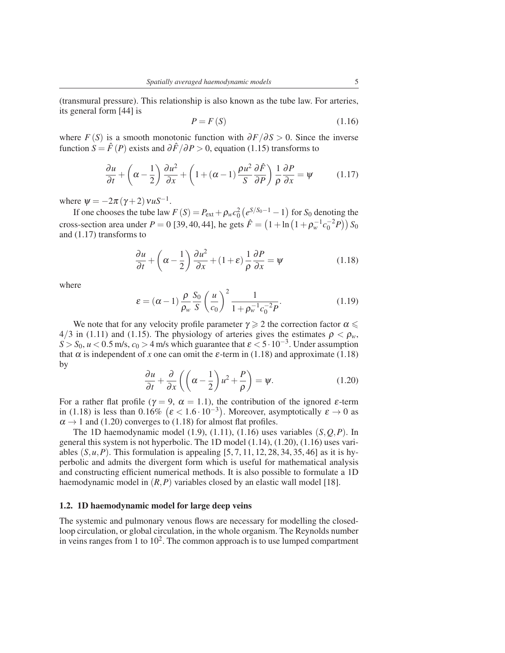(transmural pressure). This relationship is also known as the tube law. For arteries, its general form [44] is

$$
P = F(S) \tag{1.16}
$$

where *F* (*S*) is a smooth monotonic function with  $\partial F/\partial S > 0$ . Since the inverse function *S* =  $\hat{F}(P)$  exists and  $\partial \hat{F}/\partial P > 0$ , equation (1.15) transforms to

$$
\frac{\partial u}{\partial t} + \left(\alpha - \frac{1}{2}\right) \frac{\partial u^2}{\partial x} + \left(1 + (\alpha - 1)\frac{\rho u^2}{S} \frac{\partial \hat{F}}{\partial P}\right) \frac{1}{\rho} \frac{\partial P}{\partial x} = \psi \tag{1.17}
$$

where  $\psi = -2\pi (\gamma + 2) v u S^{-1}$ .

If one chooses the tube law  $F(S) = P_{ext} + \rho_w c_0^2 (e^{S/S_0 - 1} - 1)$  for  $S_0$  denoting the cross-section area under  $P = 0$  [39, 40, 44], he gets  $\hat{F} = (1 + \ln(1 + \rho_w^{-1}c_0^{-2}P))S_0$ and (1.17) transforms to

$$
\frac{\partial u}{\partial t} + \left(\alpha - \frac{1}{2}\right) \frac{\partial u^2}{\partial x} + (1 + \varepsilon) \frac{1}{\rho} \frac{\partial P}{\partial x} = \psi \tag{1.18}
$$

where

$$
\varepsilon = (\alpha - 1) \frac{\rho}{\rho_w} \frac{S_0}{S} \left(\frac{u}{c_0}\right)^2 \frac{1}{1 + \rho_w^{-1} c_0^{-2} P}.
$$
 (1.19)

We note that for any velocity profile parameter  $\gamma \geq 2$  the correction factor  $\alpha \leq$  $4/3$  in (1.11) and (1.15). The physiology of arteries gives the estimates  $\rho < \rho_w$ ,  $S > S_0$ ,  $u < 0.5$  m/s,  $c_0 > 4$  m/s which guarantee that  $\varepsilon < 5 \cdot 10^{-3}$ . Under assumption that  $\alpha$  is independent of *x* one can omit the  $\varepsilon$ -term in (1.18) and approximate (1.18) by

$$
\frac{\partial u}{\partial t} + \frac{\partial}{\partial x} \left( \left( \alpha - \frac{1}{2} \right) u^2 + \frac{P}{\rho} \right) = \psi. \tag{1.20}
$$

For a rather flat profile ( $\gamma = 9$ ,  $\alpha = 1.1$ ), the contribution of the ignored  $\varepsilon$ -term in (1.18) is less than 0.16%  $(\varepsilon < 1.6 \cdot 10^{-3})$ . Moreover, asymptotically  $\varepsilon \to 0$  as  $\alpha \rightarrow 1$  and (1.20) converges to (1.18) for almost flat profiles.

The 1D haemodynamic model  $(1.9)$ ,  $(1.11)$ ,  $(1.16)$  uses variables  $(S, Q, P)$ . In general this system is not hyperbolic. The 1D model (1.14), (1.20), (1.16) uses variables  $(S, u, P)$ . This formulation is appealing  $[5, 7, 11, 12, 28, 34, 35, 46]$  as it is hyperbolic and admits the divergent form which is useful for mathematical analysis and constructing efficient numerical methods. It is also possible to formulate a 1D haemodynamic model in (*R*,*P*) variables closed by an elastic wall model [18].

### 1.2. 1D haemodynamic model for large deep veins

The systemic and pulmonary venous flows are necessary for modelling the closedloop circulation, or global circulation, in the whole organism. The Reynolds number in veins ranges from 1 to  $10^2$ . The common approach is to use lumped compartment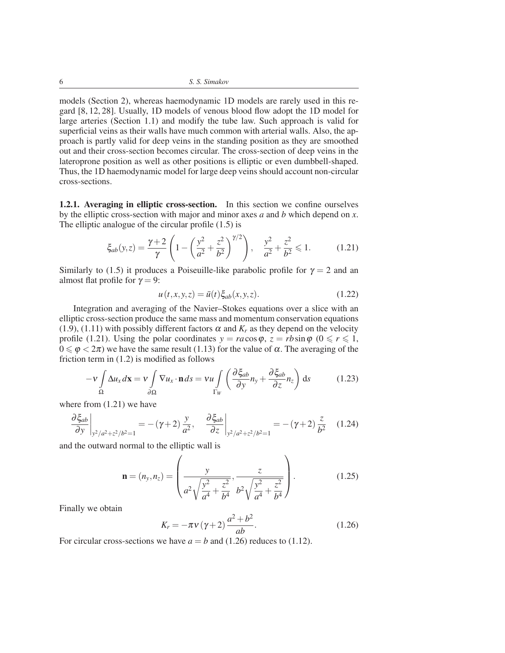models (Section 2), whereas haemodynamic 1D models are rarely used in this regard [8, 12, 28]. Usually, 1D models of venous blood flow adopt the 1D model for large arteries (Section 1.1) and modify the tube law. Such approach is valid for superficial veins as their walls have much common with arterial walls. Also, the approach is partly valid for deep veins in the standing position as they are smoothed out and their cross-section becomes circular. The cross-section of deep veins in the lateroprone position as well as other positions is elliptic or even dumbbell-shaped. Thus, the 1D haemodynamic model for large deep veins should account non-circular cross-sections.

1.2.1. Averaging in elliptic cross-section. In this section we confine ourselves by the elliptic cross-section with major and minor axes *a* and *b* which depend on *x*. The elliptic analogue of the circular profile (1.5) is

$$
\xi_{ab}(y,z) = \frac{\gamma + 2}{\gamma} \left( 1 - \left( \frac{y^2}{a^2} + \frac{z^2}{b^2} \right)^{\gamma/2} \right), \quad \frac{y^2}{a^2} + \frac{z^2}{b^2} \leq 1. \tag{1.21}
$$

Similarly to (1.5) it produces a Poiseuille-like parabolic profile for  $\gamma = 2$  and an almost flat profile for  $\gamma = 9$ :

$$
u(t, x, y, z) = \bar{u}(t)\xi_{ab}(x, y, z).
$$
 (1.22)

Integration and averaging of the Navier–Stokes equations over a slice with an elliptic cross-section produce the same mass and momentum conservation equations (1.9), (1.11) with possibly different factors  $\alpha$  and  $K_r$  as they depend on the velocity profile (1.21). Using the polar coordinates  $y = ra\cos\varphi$ ,  $z = rb\sin\varphi$  ( $0 \le r \le 1$ ,  $0 \le \varphi < 2\pi$ ) we have the same result (1.13) for the value of  $\alpha$ . The averaging of the friction term in (1.2) is modified as follows

$$
-v \int_{\Omega} \Delta u_x d\mathbf{x} = v \int_{\partial \Omega} \nabla u_x \cdot \mathbf{n} ds = v u \int_{\Gamma_W} \left( \frac{\partial \xi_{ab}}{\partial y} n_y + \frac{\partial \xi_{ab}}{\partial z} n_z \right) ds \tag{1.23}
$$

where from (1.21) we have

$$
\left. \frac{\partial \xi_{ab}}{\partial y} \right|_{y^2/a^2 + z^2/b^2 = 1} = -(\gamma + 2) \frac{y}{a^2}, \quad \left. \frac{\partial \xi_{ab}}{\partial z} \right|_{y^2/a^2 + z^2/b^2 = 1} = -(\gamma + 2) \frac{z}{b^2}
$$
(1.24)

and the outward normal to the elliptic wall is

$$
\mathbf{n} = (n_y, n_z) = \left(\frac{y}{a^2 \sqrt{\frac{y^2}{a^4} + \frac{z^2}{b^4}}}, \frac{z}{b^2 \sqrt{\frac{y^2}{a^4} + \frac{z^2}{b^4}}}\right).
$$
(1.25)

Finally we obtain

$$
K_r = -\pi v (\gamma + 2) \frac{a^2 + b^2}{ab}.
$$
 (1.26)

For circular cross-sections we have  $a = b$  and (1.26) reduces to (1.12).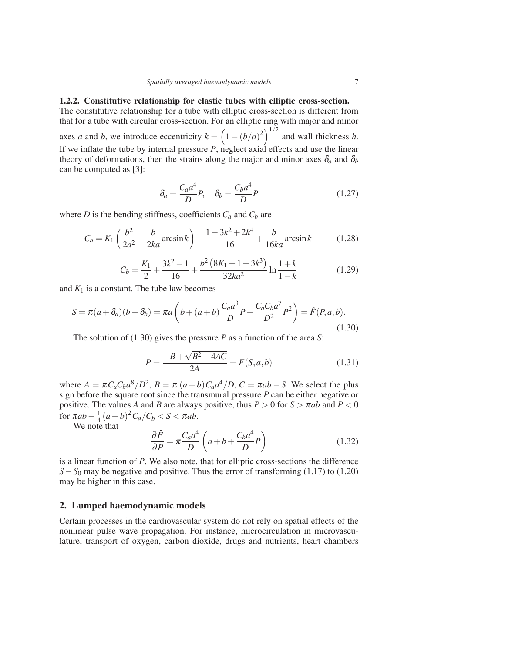# 1.2.2. Constitutive relationship for elastic tubes with elliptic cross-section.

The constitutive relationship for a tube with elliptic cross-section is different from that for a tube with circular cross-section. For an elliptic ring with major and minor axes *a* and *b*, we introduce eccentricity  $k = (1 - (b/a)^2)^{1/2}$  and wall thickness *h*. If we inflate the tube by internal pressure *P*, neglect axial effects and use the linear theory of deformations, then the strains along the major and minor axes  $\delta_a$  and  $\delta_b$ can be computed as [3]:

$$
\delta_a = \frac{C_a a^4}{D} P, \quad \delta_b = \frac{C_b a^4}{D} P \tag{1.27}
$$

where *D* is the bending stiffness, coefficients  $C_a$  and  $C_b$  are

$$
C_a = K_1 \left(\frac{b^2}{2a^2} + \frac{b}{2ka} \arcsin k\right) - \frac{1 - 3k^2 + 2k^4}{16} + \frac{b}{16ka} \arcsin k \tag{1.28}
$$

$$
C_b = \frac{K_1}{2} + \frac{3k^2 - 1}{16} + \frac{b^2 \left(8K_1 + 1 + 3k^3\right)}{32ka^2} \ln \frac{1+k}{1-k} \tag{1.29}
$$

and  $K_1$  is a constant. The tube law becomes

$$
S = \pi(a + \delta_a)(b + \delta_b) = \pi a \left( b + (a + b) \frac{C_a a^3}{D} P + \frac{C_a C_b a^7}{D^2} P^2 \right) = \hat{F}(P, a, b).
$$
\n(1.30)

The solution of (1.30) gives the pressure *P* as a function of the area *S*:

$$
P = \frac{-B + \sqrt{B^2 - 4AC}}{2A} = F(S, a, b)
$$
\n(1.31)

where  $A = \pi C_a C_b a^8 / D^2$ ,  $B = \pi (a+b) C_a a^4 / D$ ,  $C = \pi ab - S$ . We select the plus sign before the square root since the transmural pressure *P* can be either negative or positive. The values *A* and *B* are always positive, thus  $P > 0$  for  $S > \pi ab$  and  $P < 0$ for  $\pi ab-\frac{1}{4}$  $\frac{1}{4}(a+b)^2C_a/C_b < S < \pi ab$ .

We note that

$$
\frac{\partial \hat{F}}{\partial P} = \pi \frac{C_a a^4}{D} \left( a + b + \frac{C_b a^4}{D} P \right)
$$
(1.32)

is a linear function of *P*. We also note, that for elliptic cross-sections the difference *S*−*S*<sup>0</sup> may be negative and positive. Thus the error of transforming (1.17) to (1.20) may be higher in this case.

## 2. Lumped haemodynamic models

Certain processes in the cardiovascular system do not rely on spatial effects of the nonlinear pulse wave propagation. For instance, microcirculation in microvasculature, transport of oxygen, carbon dioxide, drugs and nutrients, heart chambers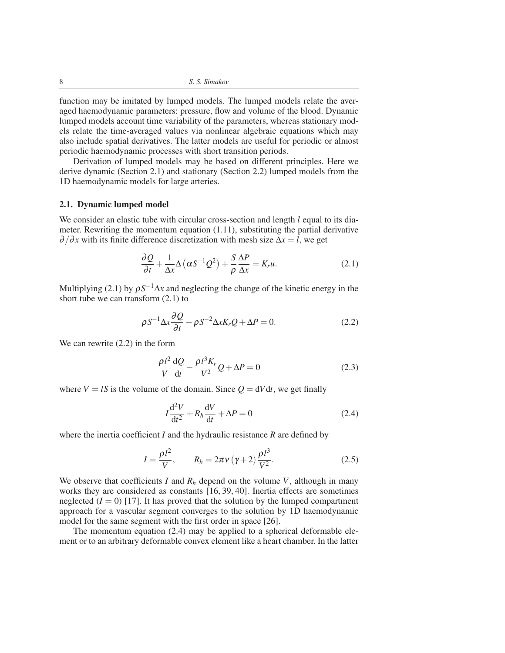function may be imitated by lumped models. The lumped models relate the averaged haemodynamic parameters: pressure, flow and volume of the blood. Dynamic lumped models account time variability of the parameters, whereas stationary models relate the time-averaged values via nonlinear algebraic equations which may also include spatial derivatives. The latter models are useful for periodic or almost periodic haemodynamic processes with short transition periods.

Derivation of lumped models may be based on different principles. Here we derive dynamic (Section 2.1) and stationary (Section 2.2) lumped models from the 1D haemodynamic models for large arteries.

# 2.1. Dynamic lumped model

We consider an elastic tube with circular cross-section and length *l* equal to its diameter. Rewriting the momentum equation (1.11), substituting the partial derivative  $\partial/\partial x$  with its finite difference discretization with mesh size  $\Delta x = l$ , we get

$$
\frac{\partial Q}{\partial t} + \frac{1}{\Delta x} \Delta (\alpha S^{-1} Q^2) + \frac{S}{\rho} \frac{\Delta P}{\Delta x} = K_r u.
$$
 (2.1)

Multiplying (2.1) by  $\rho S^{-1} \Delta x$  and neglecting the change of the kinetic energy in the short tube we can transform (2.1) to

$$
\rho S^{-1} \Delta x \frac{\partial Q}{\partial t} - \rho S^{-2} \Delta x K_r Q + \Delta P = 0. \qquad (2.2)
$$

We can rewrite (2.2) in the form

$$
\frac{\rho l^2}{V} \frac{\mathrm{d}Q}{\mathrm{d}t} - \frac{\rho l^3 K_r}{V^2} Q + \Delta P = 0 \tag{2.3}
$$

where  $V = lS$  is the volume of the domain. Since  $Q = dVdt$ , we get finally

$$
I\frac{\mathrm{d}^2 V}{\mathrm{d}t^2} + R_h \frac{\mathrm{d}V}{\mathrm{d}t} + \Delta P = 0
$$
 (2.4)

where the inertia coefficient *I* and the hydraulic resistance *R* are defined by

$$
I = \frac{\rho l^2}{V}, \qquad R_h = 2\pi v (\gamma + 2) \frac{\rho l^3}{V^2}.
$$
 (2.5)

We observe that coefficients *I* and  $R_h$  depend on the volume *V*, although in many works they are considered as constants [16, 39, 40]. Inertia effects are sometimes neglected  $(I = 0)$  [17]. It has proved that the solution by the lumped compartment approach for a vascular segment converges to the solution by 1D haemodynamic model for the same segment with the first order in space [26].

The momentum equation (2.4) may be applied to a spherical deformable element or to an arbitrary deformable convex element like a heart chamber. In the latter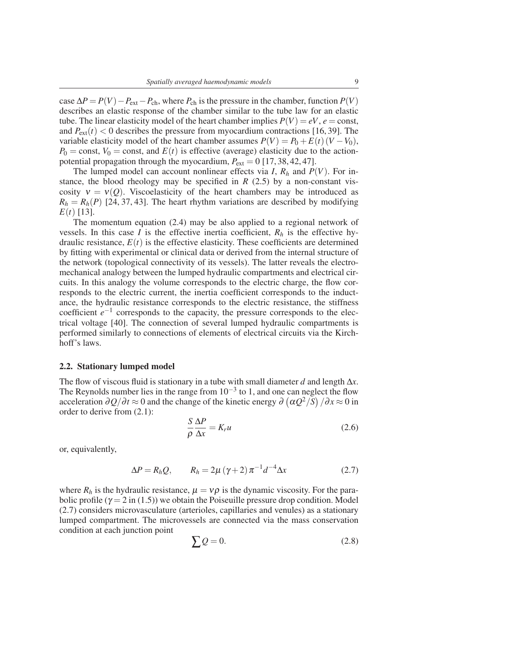$\cose \Delta P = P(V) - P_{ext} - P_{ch}$ , where  $P_{ch}$  is the pressure in the chamber, function  $P(V)$ describes an elastic response of the chamber similar to the tube law for an elastic tube. The linear elasticity model of the heart chamber implies  $P(V) = eV$ ,  $e = \text{const}$ , and  $P_{ext}(t) < 0$  describes the pressure from myocardium contractions [16, 39]. The variable elasticity model of the heart chamber assumes  $P(V) = P_0 + E(t) (V - V_0)$ ,  $P_0$  = const,  $V_0$  = const, and  $E(t)$  is effective (average) elasticity due to the actionpotential propagation through the myocardium,  $P_{ext} = 0$  [17, 38, 42, 47].

The lumped model can account nonlinear effects via *I*,  $R_h$  and  $P(V)$ . For instance, the blood rheology may be specified in  $R$  (2.5) by a non-constant viscosity  $v = v(Q)$ . Viscoelasticity of the heart chambers may be introduced as  $R_h = R_h(P)$  [24, 37, 43]. The heart rhythm variations are described by modifying  $E(t)$  [13].

The momentum equation (2.4) may be also applied to a regional network of vessels. In this case *I* is the effective inertia coefficient,  $R_h$  is the effective hydraulic resistance,  $E(t)$  is the effective elasticity. These coefficients are determined by fitting with experimental or clinical data or derived from the internal structure of the network (topological connectivity of its vessels). The latter reveals the electromechanical analogy between the lumped hydraulic compartments and electrical circuits. In this analogy the volume corresponds to the electric charge, the flow corresponds to the electric current, the inertia coefficient corresponds to the inductance, the hydraulic resistance corresponds to the electric resistance, the stiffness coefficient  $e^{-1}$  corresponds to the capacity, the pressure corresponds to the electrical voltage [40]. The connection of several lumped hydraulic compartments is performed similarly to connections of elements of electrical circuits via the Kirchhoff's laws.

### 2.2. Stationary lumped model

The flow of viscous fluid is stationary in a tube with small diameter *d* and length ∆*x*. The Reynolds number lies in the range from  $10^{-3}$  to 1, and one can neglect the flow acceleration  $\partial Q/\partial t \approx 0$  and the change of the kinetic energy  $\partial (\alpha Q^2/S)/\partial x \approx 0$  in order to derive from (2.1):

$$
\frac{S}{\rho} \frac{\Delta P}{\Delta x} = K_r u \tag{2.6}
$$

or, equivalently,

$$
\Delta P = R_h Q, \qquad R_h = 2\mu (\gamma + 2) \pi^{-1} d^{-4} \Delta x \tag{2.7}
$$

where  $R_h$  is the hydraulic resistance,  $\mu = v\rho$  is the dynamic viscosity. For the parabolic profile ( $\gamma = 2$  in (1.5)) we obtain the Poiseuille pressure drop condition. Model (2.7) considers microvasculature (arterioles, capillaries and venules) as a stationary lumped compartment. The microvessels are connected via the mass conservation condition at each junction point

$$
\sum Q = 0. \tag{2.8}
$$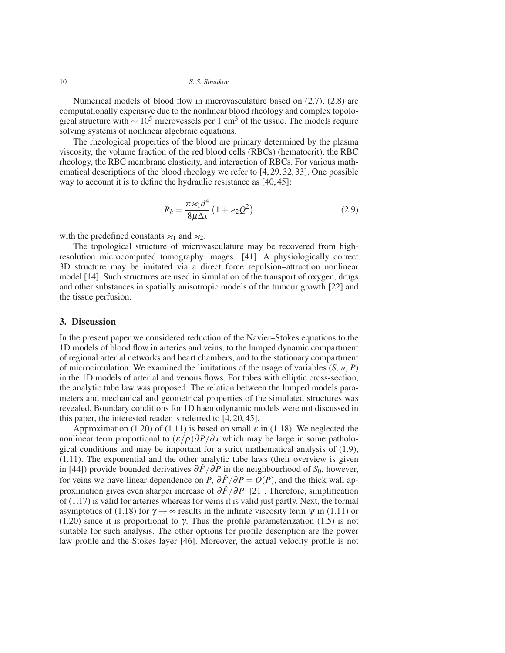Numerical models of blood flow in microvasculature based on (2.7), (2.8) are computationally expensive due to the nonlinear blood rheology and complex topological structure with  $\sim 10^5$  microvessels per 1 cm<sup>3</sup> of the tissue. The models require solving systems of nonlinear algebraic equations.

The rheological properties of the blood are primary determined by the plasma viscosity, the volume fraction of the red blood cells (RBCs) (hematocrit), the RBC rheology, the RBC membrane elasticity, and interaction of RBCs. For various mathematical descriptions of the blood rheology we refer to [4, 29, 32, 33]. One possible way to account it is to define the hydraulic resistance as [40, 45]:

$$
R_h = \frac{\pi \varkappa_1 d^4}{8\mu \Delta x} \left(1 + \varkappa_2 Q^2\right) \tag{2.9}
$$

with the predefined constants  $\varkappa_1$  and  $\varkappa_2$ .

The topological structure of microvasculature may be recovered from highresolution microcomputed tomography images [41]. A physiologically correct 3D structure may be imitated via a direct force repulsion–attraction nonlinear model [14]. Such structures are used in simulation of the transport of oxygen, drugs and other substances in spatially anisotropic models of the tumour growth [22] and the tissue perfusion.

# 3. Discussion

In the present paper we considered reduction of the Navier–Stokes equations to the 1D models of blood flow in arteries and veins, to the lumped dynamic compartment of regional arterial networks and heart chambers, and to the stationary compartment of microcirculation. We examined the limitations of the usage of variables (*S*, *u*, *P*) in the 1D models of arterial and venous flows. For tubes with elliptic cross-section, the analytic tube law was proposed. The relation between the lumped models parameters and mechanical and geometrical properties of the simulated structures was revealed. Boundary conditions for 1D haemodynamic models were not discussed in this paper, the interested reader is referred to [4, 20, 45].

Approximation (1.20) of (1.11) is based on small  $\varepsilon$  in (1.18). We neglected the nonlinear term proportional to  $(\varepsilon/\rho)\partial P/\partial x$  which may be large in some pathological conditions and may be important for a strict mathematical analysis of (1.9), (1.11). The exponential and the other analytic tube laws (their overview is given in [44]) provide bounded derivatives  $\frac{\partial \hat{F}}{\partial P}$  in the neighbourhood of *S*<sub>0</sub>, however, for veins we have linear dependence on *P*,  $\partial \hat{F}/\partial P = O(P)$ , and the thick wall approximation gives even sharper increase of ∂*F*ˆ/∂*P* [21]. Therefore, simplification of (1.17) is valid for arteries whereas for veins it is valid just partly. Next, the formal asymptotics of (1.18) for  $\gamma \rightarrow \infty$  results in the infinite viscosity term  $\psi$  in (1.11) or (1.20) since it is proportional to  $\gamma$ . Thus the profile parameterization (1.5) is not suitable for such analysis. The other options for profile description are the power law profile and the Stokes layer [46]. Moreover, the actual velocity profile is not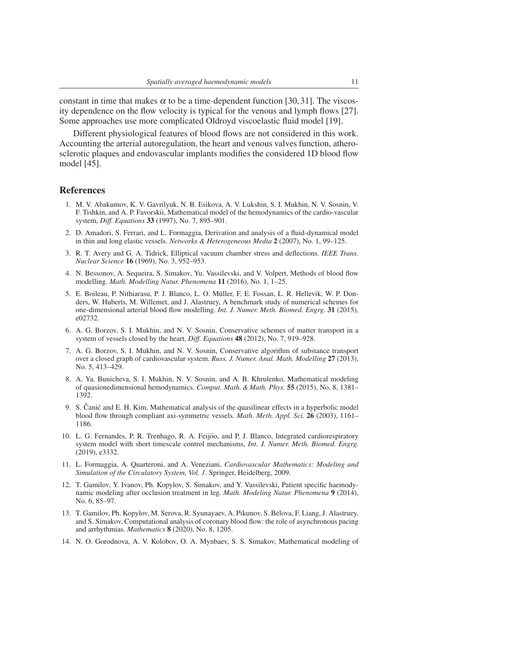constant in time that makes  $\alpha$  to be a time-dependent function [30, 31]. The viscosity dependence on the flow velocity is typical for the venous and lymph flows [27]. Some approaches use more complicated Oldroyd viscoelastic fluid model [19].

Different physiological features of blood flows are not considered in this work. Accounting the arterial autoregulation, the heart and venous valves function, atherosclerotic plaques and endovascular implants modifies the considered 1D blood flow model [45].

# References

- 1. M. V. Abakumov, K. V. Gavrilyuk, N. B. Esikova, A. V. Lukshin, S. I. Mukhin, N. V. Sosnin, V. F. Tishkin, and A. P. Favorskii, Mathematical model of the hemodynamics of the cardio-vascular system, *Diff. Equations* 33 (1997), No. 7, 895–901.
- 2. D. Amadori, S. Ferrari, and L. Formaggia, Derivation and analysis of a fluid-dynamical model in thin and long elastic vessels. *Networks & Heterogeneous Media* 2 (2007), No. 1, 99–125.
- 3. R. T. Avery and G. A. Tidrick, Elliptical vacuum chamber stress and deflections. *IEEE Trans. Nuclear Science* 16 (1969), No. 3, 952–953.
- 4. N. Bessonov, A. Sequeira, S. Simakov, Yu. Vassilevski, and V. Volpert, Methods of blood flow modelling. *Math. Modelling Natur. Phenomena* 11 (2016), No. 1, 1–25.
- 5. E. Boileau, P. Nithiarasu, P. J. Blanco, L. O. Muller, F. E. Fossan, L. R. Hellevik, W. P. Don- ¨ ders, W. Huberts, M. Willemet, and J. Alastruey, A benchmark study of numerical schemes for one-dimensional arterial blood flow modelling. *Int. J. Numer. Meth. Biomed. Engrg.* 31 (2015), e02732.
- 6. A. G. Borzov, S. I. Mukhin, and N. V. Sosnin, Conservative schemes of matter transport in a system of vessels closed by the heart, *Diff. Equations* 48 (2012), No. 7, 919–928.
- 7. A. G. Borzov, S. I. Mukhin, and N. V. Sosnin, Conservative algorithm of substance transport over a closed graph of cardiovascular system. *Russ. J. Numer. Anal. Math. Modelling* 27 (2013), No. 5, 413–429.
- 8. A. Ya. Bunicheva, S. I. Mukhin, N. V. Sosnin, and A. B. Khrulenko, Mathematical modeling of quasionedimensional hemodynamics. *Comput. Math. & Math. Phys.* 55 (2015), No. 8, 1381– 1392.
- 9. S. Čanić and E. H. Kim, Mathematical analysis of the quasilinear effects in a hyperbolic model blood flow through compliant axi-symmetric vessels. *Math. Meth. Appl. Sci.* 26 (2003), 1161– 1186.
- 10. L. G. Fernandes, P. R. Trenhago, R. A. Feijoo, and P. J. Blanco, Integrated cardiorespiratory ´ system model with short timescale control mechanisms, *Int. J. Numer. Meth. Biomed. Engrg.* (2019), e3332.
- 11. L. Formaggia, A. Quarteroni, and A. Veneziani, *Cardiovascular Mathematics: Modeling and Simulation of the Circulatory System, Vol. 1*. Springer, Heidelberg, 2009.
- 12. T. Gamilov, Y. Ivanov, Ph. Kopylov, S. Simakov, and Y. Vassilevski, Patient specific haemodynamic modeling after occlusion treatment in leg. *Math. Modeling Natur. Phenomena* 9 (2014), No. 6, 85–97.
- 13. T. Gamilov, Ph. Kopylov, M. Serova, R. Syunayaev, A. Pikunov, S. Belova, F. Liang, J. Alastruey, and S. Simakov, Computational analysis of coronary blood flow: the role of asynchronous pacing and arrhythmias. *Mathematics* 8 (2020), No. 8, 1205.
- 14. N. O. Gorodnova, A. V. Kolobov, O. A. Mynbaev, S. S. Simakov, Mathematical modeling of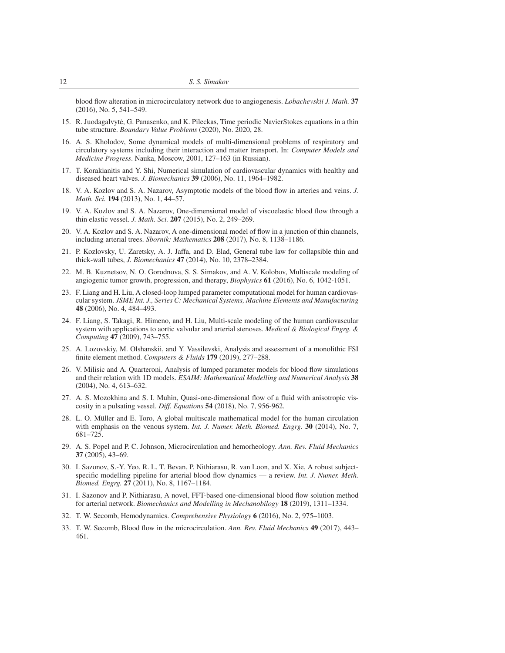blood flow alteration in microcirculatory network due to angiogenesis. *Lobachevskii J. Math.* 37 (2016), No. 5, 541–549.

- 15. R. Juodagalvyte, G. Panasenko, and K. Pileckas, Time periodic NavierStokes equations in a thin ˙ tube structure. *Boundary Value Problems* (2020), No. 2020, 28.
- 16. A. S. Kholodov, Some dynamical models of multi-dimensional problems of respiratory and circulatory systems including their interaction and matter transport. In: *Computer Models and Medicine Progress*. Nauka, Moscow, 2001, 127–163 (in Russian).
- 17. T. Korakianitis and Y. Shi, Numerical simulation of cardiovascular dynamics with healthy and diseased heart valves. *J. Biomechanics* 39 (2006), No. 11, 1964–1982.
- 18. V. A. Kozlov and S. A. Nazarov, Asymptotic models of the blood flow in arteries and veins. *J. Math. Sci.* 194 (2013), No. 1, 44–57.
- 19. V. A. Kozlov and S. A. Nazarov, One-dimensional model of viscoelastic blood flow through a thin elastic vessel. *J. Math. Sci.* 207 (2015), No. 2, 249–269.
- 20. V. A. Kozlov and S. A. Nazarov, A one-dimensional model of flow in a junction of thin channels, including arterial trees. *Sbornik: Mathematics* 208 (2017), No. 8, 1138–1186.
- 21. P. Kozlovsky, U. Zaretsky, A. J. Jaffa, and D. Elad, General tube law for collapsible thin and thick-wall tubes, *J. Biomechanics* 47 (2014), No. 10, 2378–2384.
- 22. M. B. Kuznetsov, N. O. Gorodnova, S. S. Simakov, and A. V. Kolobov, Multiscale modeling of angiogenic tumor growth, progression, and therapy, *Biophysics* 61 (2016), No. 6, 1042-1051.
- 23. F. Liang and H. Liu, A closed-loop lumped parameter computational model for human cardiovascular system. *JSME Int. J., Series C: Mechanical Systems, Machine Elements and Manufacturing* 48 (2006), No. 4, 484–493.
- 24. F. Liang, S. Takagi, R. Himeno, and H. Liu, Multi-scale modeling of the human cardiovascular system with applications to aortic valvular and arterial stenoses. *Medical & Biological Engrg. & Computing* 47 (2009), 743–755.
- 25. A. Lozovskiy, M. Olshanskii, and Y. Vassilevski, Analysis and assessment of a monolithic FSI finite element method. *Computers & Fluids* 179 (2019), 277–288.
- 26. V. Milisic and A. Quarteroni, Analysis of lumped parameter models for blood flow simulations and their relation with 1D models. *ESAIM: Mathematical Modelling and Numerical Analysis* 38 (2004), No. 4, 613–632.
- 27. A. S. Mozokhina and S. I. Muhin, Quasi-one-dimensional flow of a fluid with anisotropic viscosity in a pulsating vessel. *Diff. Equations* 54 (2018), No. 7, 956-962.
- 28. L. O. Müller and E. Toro, A global multiscale mathematical model for the human circulation with emphasis on the venous system. *Int. J. Numer. Meth. Biomed. Engrg.* 30 (2014), No. 7, 681–725.
- 29. A. S. Popel and P. C. Johnson, Microcirculation and hemorheology. *Ann. Rev. Fluid Mechanics* 37 (2005), 43–69.
- 30. I. Sazonov, S.-Y. Yeo, R. L. T. Bevan, P. Nithiarasu, R. van Loon, and X. Xie, A robust subjectspecific modelling pipeline for arterial blood flow dynamics — a review. *Int. J. Numer. Meth. Biomed. Engrg.* 27 (2011), No. 8, 1167–1184.
- 31. I. Sazonov and P. Nithiarasu, A novel, FFT-based one-dimensional blood flow solution method for arterial network. *Biomechanics and Modelling in Mechanobilogy* 18 (2019), 1311–1334.
- 32. T. W. Secomb, Hemodynamics. *Comprehensive Physiology* 6 (2016), No. 2, 975–1003.
- 33. T. W. Secomb, Blood flow in the microcirculation. *Ann. Rev. Fluid Mechanics* 49 (2017), 443– 461.